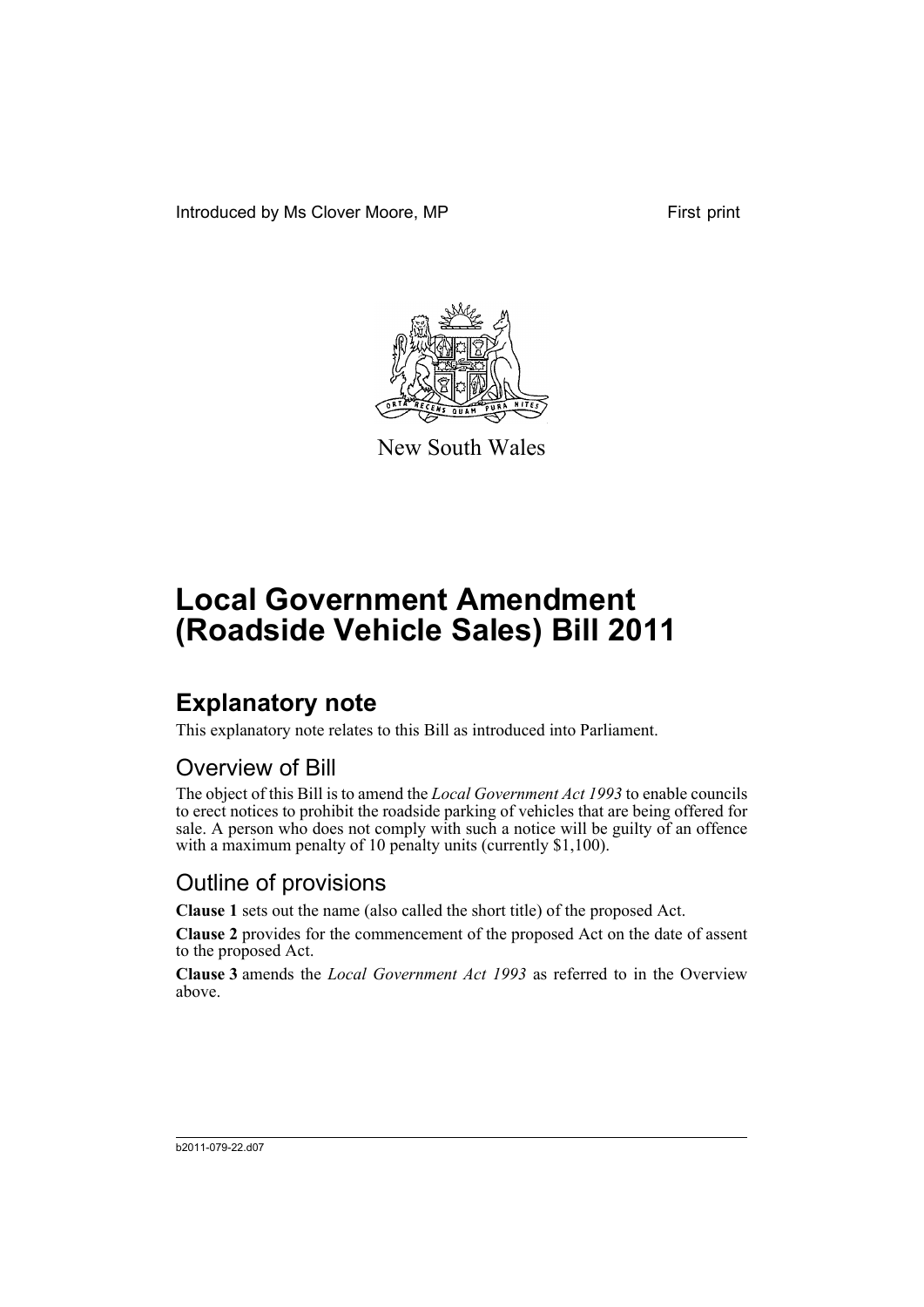Introduced by Ms Clover Moore, MP First print



New South Wales

# **Local Government Amendment (Roadside Vehicle Sales) Bill 2011**

## **Explanatory note**

This explanatory note relates to this Bill as introduced into Parliament.

#### Overview of Bill

The object of this Bill is to amend the *Local Government Act 1993* to enable councils to erect notices to prohibit the roadside parking of vehicles that are being offered for sale. A person who does not comply with such a notice will be guilty of an offence with a maximum penalty of 10 penalty units (currently \$1,100).

#### Outline of provisions

**Clause 1** sets out the name (also called the short title) of the proposed Act.

**Clause 2** provides for the commencement of the proposed Act on the date of assent to the proposed Act.

**Clause 3** amends the *Local Government Act 1993* as referred to in the Overview above.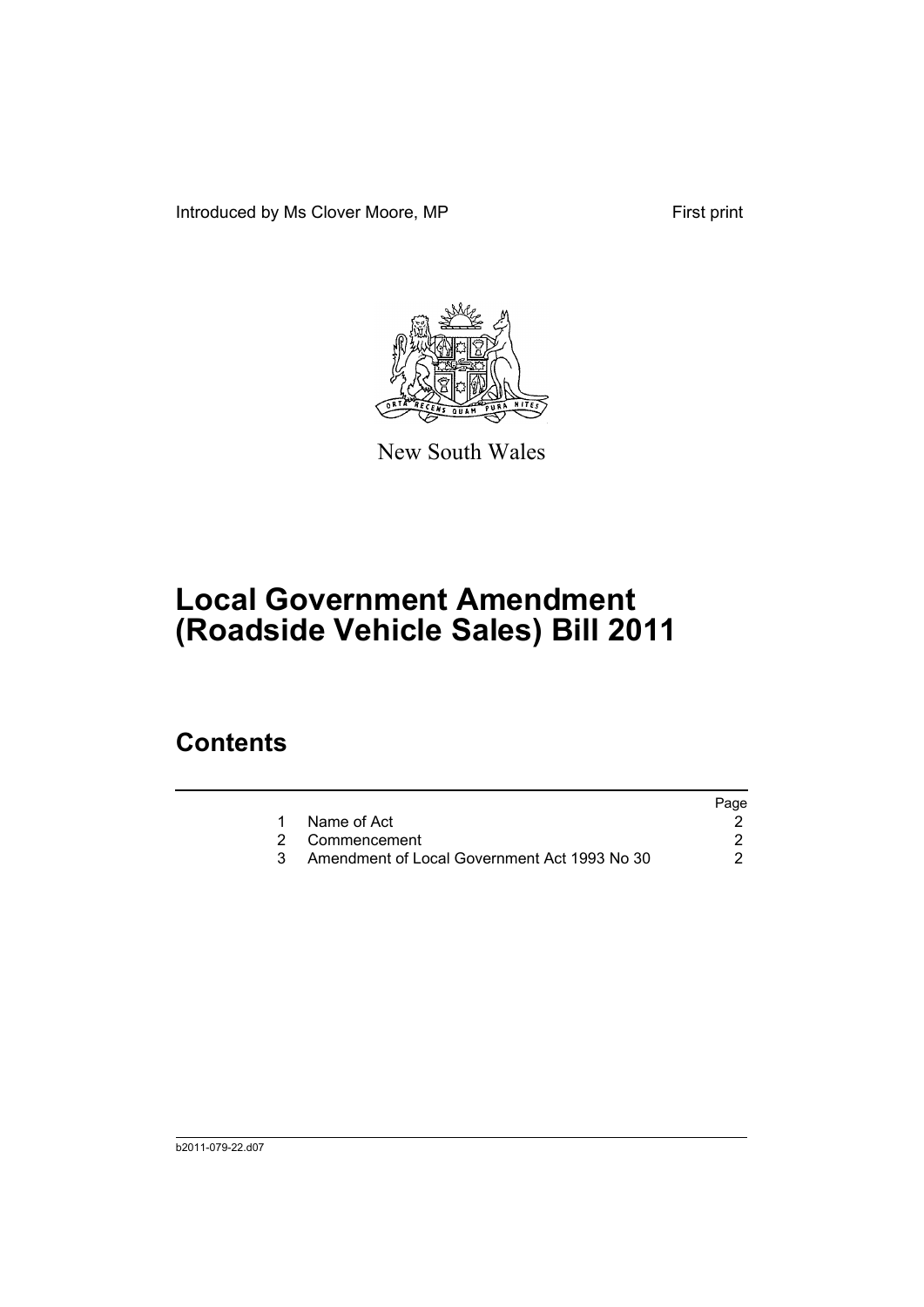Introduced by Ms Clover Moore, MP First print



New South Wales

## **Local Government Amendment (Roadside Vehicle Sales) Bill 2011**

### **Contents**

|                                              | Page |
|----------------------------------------------|------|
| 1 Name of Act                                |      |
| 2 Commencement                               |      |
| Amendment of Local Government Act 1993 No 30 |      |
|                                              |      |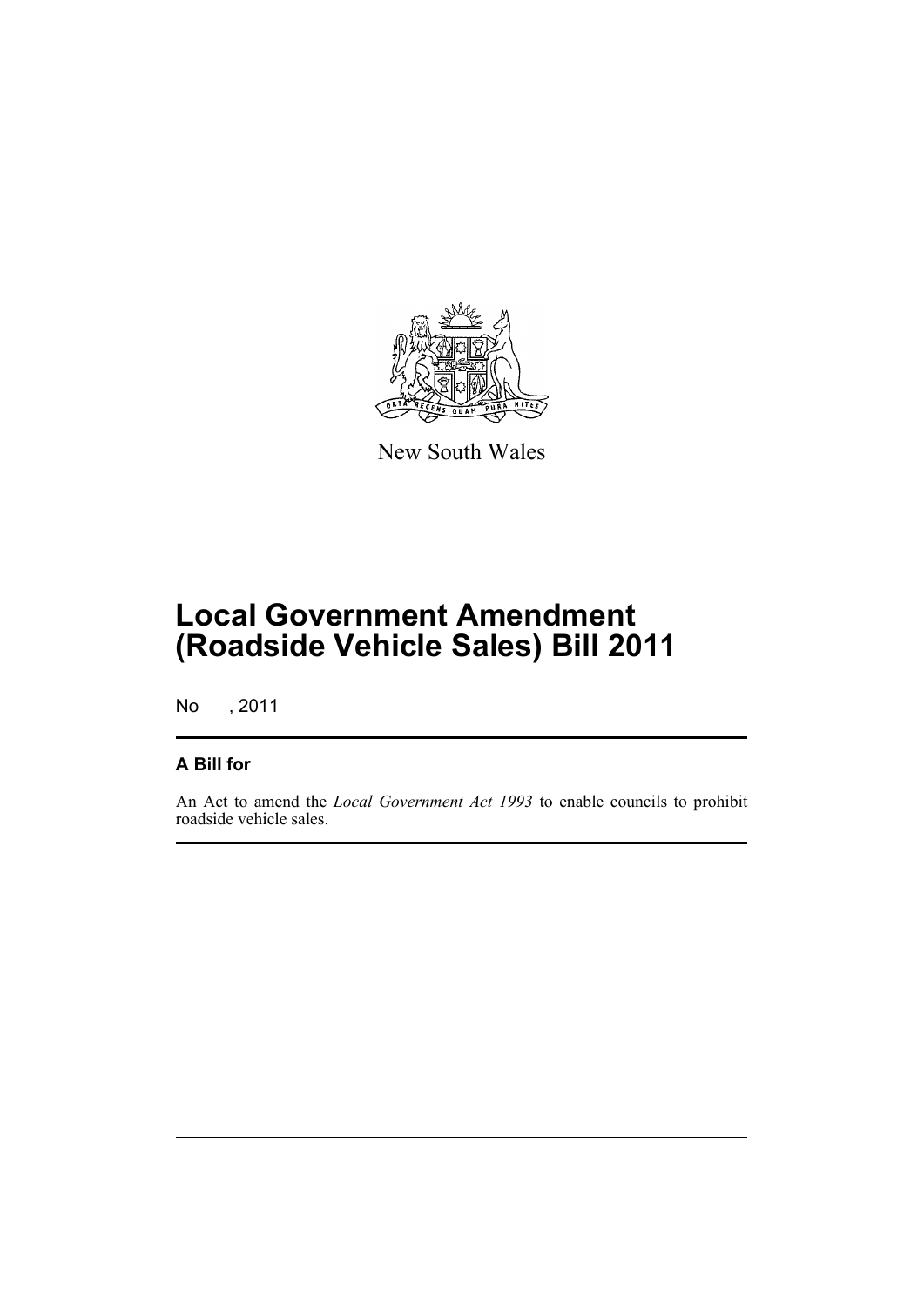

New South Wales

## **Local Government Amendment (Roadside Vehicle Sales) Bill 2011**

No , 2011

#### **A Bill for**

An Act to amend the *Local Government Act 1993* to enable councils to prohibit roadside vehicle sales.